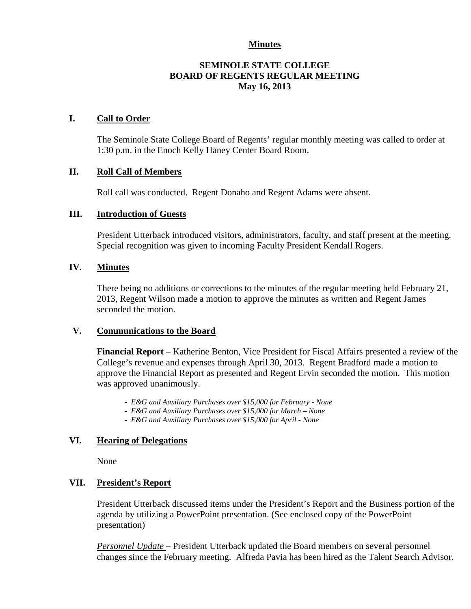# **Minutes**

# **SEMINOLE STATE COLLEGE BOARD OF REGENTS REGULAR MEETING May 16, 2013**

## **I. Call to Order**

The Seminole State College Board of Regents' regular monthly meeting was called to order at 1:30 p.m. in the Enoch Kelly Haney Center Board Room.

## **II. Roll Call of Members**

Roll call was conducted. Regent Donaho and Regent Adams were absent.

## **III. Introduction of Guests**

President Utterback introduced visitors, administrators, faculty, and staff present at the meeting. Special recognition was given to incoming Faculty President Kendall Rogers.

## **IV. Minutes**

There being no additions or corrections to the minutes of the regular meeting held February 21, 2013, Regent Wilson made a motion to approve the minutes as written and Regent James seconded the motion.

#### **V. Communications to the Board**

**Financial Report** – Katherine Benton, Vice President for Fiscal Affairs presented a review of the College's revenue and expenses through April 30, 2013. Regent Bradford made a motion to approve the Financial Report as presented and Regent Ervin seconded the motion. This motion was approved unanimously.

- *E&G and Auxiliary Purchases over \$15,000 for February - None*
- *E&G and Auxiliary Purchases over \$15,000 for March – None*
- *E&G and Auxiliary Purchases over \$15,000 for April - None*

## **VI. Hearing of Delegations**

None

# **VII. President's Report**

President Utterback discussed items under the President's Report and the Business portion of the agenda by utilizing a PowerPoint presentation. (See enclosed copy of the PowerPoint presentation)

*Personnel Update* – President Utterback updated the Board members on several personnel changes since the February meeting. Alfreda Pavia has been hired as the Talent Search Advisor.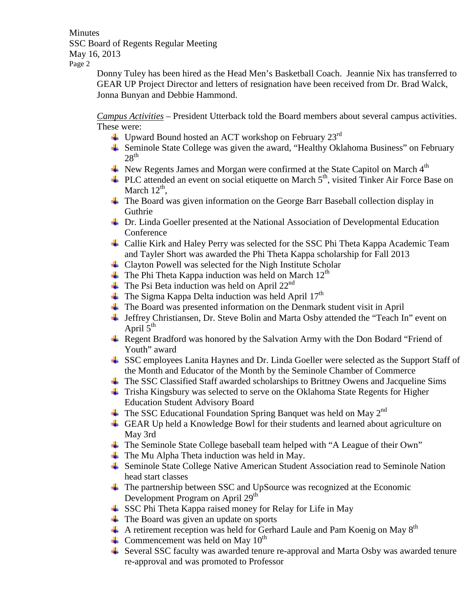**Minutes** SSC Board of Regents Regular Meeting May 16, 2013 Page 2

Donny Tuley has been hired as the Head Men's Basketball Coach. Jeannie Nix has transferred to GEAR UP Project Director and letters of resignation have been received from Dr. Brad Walck, Jonna Bunyan and Debbie Hammond.

*Campus Activities* – President Utterback told the Board members about several campus activities. These were:

- $\overline{\text{□}}$  Upward Bound hosted an ACT workshop on February 23<sup>rd</sup>
- Seminole State College was given the award, "Healthy Oklahoma Business" on February  $28<sup>th</sup>$
- $\overline{\phantom{a}^+}$  New Regents James and Morgan were confirmed at the State Capitol on March 4<sup>th</sup>
- $\pm$  PLC attended an event on social etiquette on March 5<sup>th</sup>, visited Tinker Air Force Base on March  $12^{th}$ .
- The Board was given information on the George Barr Baseball collection display in Guthrie
- Dr. Linda Goeller presented at the National Association of Developmental Education Conference
- Callie Kirk and Haley Perry was selected for the SSC Phi Theta Kappa Academic Team and Tayler Short was awarded the Phi Theta Kappa scholarship for Fall 2013
- Clayton Powell was selected for the Nigh Institute Scholar
- $\pm$  The Phi Theta Kappa induction was held on March 12<sup>th</sup>
- $\overline{\phantom{a}}$  The Psi Beta induction was held on April 22<sup>nd</sup>
- $\overline{\phantom{a}}$  The Sigma Kappa Delta induction was held April 17<sup>th</sup>
- The Board was presented information on the Denmark student visit in April
- Jeffrey Christiansen, Dr. Steve Bolin and Marta Osby attended the "Teach In" event on April  $5<sup>th</sup>$
- **Example 8** Regent Bradford was honored by the Salvation Army with the Don Bodard "Friend of Youth" award
- SSC employees Lanita Haynes and Dr. Linda Goeller were selected as the Support Staff of the Month and Educator of the Month by the Seminole Chamber of Commerce
- The SSC Classified Staff awarded scholarships to Brittney Owens and Jacqueline Sims
- ↓ Trisha Kingsbury was selected to serve on the Oklahoma State Regents for Higher Education Student Advisory Board
- $\pm$  The SSC Educational Foundation Spring Banquet was held on May 2<sup>nd</sup>
- GEAR Up held a Knowledge Bowl for their students and learned about agriculture on May 3rd
- The Seminole State College baseball team helped with "A League of their Own"
- $\blacksquare$  The Mu Alpha Theta induction was held in May.
- Seminole State College Native American Student Association read to Seminole Nation head start classes
- $\pm$  The partnership between SSC and UpSource was recognized at the Economic Development Program on April 29<sup>th</sup>
- SSC Phi Theta Kappa raised money for Relay for Life in May
- **The Board was given an update on sports**
- $\overline{A}$  A retirement reception was held for Gerhard Laule and Pam Koenig on May 8<sup>th</sup>
- Commencement was held on May  $10^{th}$
- $\triangleq$  Several SSC faculty was awarded tenure re-approval and Marta Osby was awarded tenure re-approval and was promoted to Professor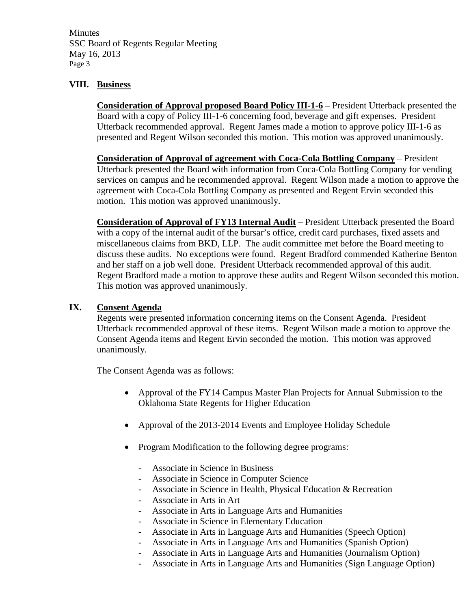**Minutes** SSC Board of Regents Regular Meeting May 16, 2013 Page 3

# **VIII. Business**

**Consideration of Approval proposed Board Policy III-1-6** – President Utterback presented the Board with a copy of Policy III-1-6 concerning food, beverage and gift expenses. President Utterback recommended approval. Regent James made a motion to approve policy III-1-6 as presented and Regent Wilson seconded this motion. This motion was approved unanimously.

**Consideration of Approval of agreement with Coca-Cola Bottling Company** – President Utterback presented the Board with information from Coca-Cola Bottling Company for vending services on campus and he recommended approval. Regent Wilson made a motion to approve the agreement with Coca-Cola Bottling Company as presented and Regent Ervin seconded this motion. This motion was approved unanimously.

**Consideration of Approval of FY13 Internal Audit** – President Utterback presented the Board with a copy of the internal audit of the bursar's office, credit card purchases, fixed assets and miscellaneous claims from BKD, LLP. The audit committee met before the Board meeting to discuss these audits. No exceptions were found. Regent Bradford commended Katherine Benton and her staff on a job well done. President Utterback recommended approval of this audit. Regent Bradford made a motion to approve these audits and Regent Wilson seconded this motion. This motion was approved unanimously.

# **IX. Consent Agenda**

Regents were presented information concerning items on the Consent Agenda. President Utterback recommended approval of these items. Regent Wilson made a motion to approve the Consent Agenda items and Regent Ervin seconded the motion. This motion was approved unanimously.

The Consent Agenda was as follows:

- Approval of the FY14 Campus Master Plan Projects for Annual Submission to the Oklahoma State Regents for Higher Education
- Approval of the 2013-2014 Events and Employee Holiday Schedule
- Program Modification to the following degree programs:
	- Associate in Science in Business
	- Associate in Science in Computer Science
	- Associate in Science in Health, Physical Education & Recreation
	- Associate in Arts in Art
	- Associate in Arts in Language Arts and Humanities
	- Associate in Science in Elementary Education
	- Associate in Arts in Language Arts and Humanities (Speech Option)
	- Associate in Arts in Language Arts and Humanities (Spanish Option)
	- Associate in Arts in Language Arts and Humanities (Journalism Option)
	- Associate in Arts in Language Arts and Humanities (Sign Language Option)